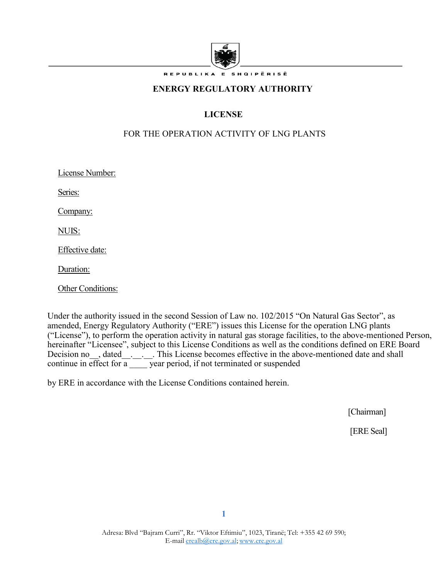

REPUBLIKA E SHQIPËRISË

#### **ENERGY REGULATORY AUTHORITY**

# **LICENSE**

### FOR THE OPERATION ACTIVITY OF LNG PLANTS

License Number:

Series:

Company:

NUIS:

Effective date:

Duration:

Other Conditions:

Under the authority issued in the second Session of Law no. 102/2015 "On Natural Gas Sector", as amended, Energy Regulatory Authority ("ERE") issues this License for the operation LNG plants ("License"), to perform the operation activity in natural gas storage facilities, to the above-mentioned Person, hereinafter "Licensee", subject to this License Conditions as well as the conditions defined on ERE Board Decision no<sub>\_\_</sub>, dated<sub>\_\_\_</sub>.<sub>\_\_\_</sub>. This License becomes effective in the above-mentioned date and shall continue in effect for a  $\frac{1}{\sqrt{2}}$  year period, if not terminated or suspended

by ERE in accordance with the License Conditions contained herein.

[Chairman]

[ERE Seal]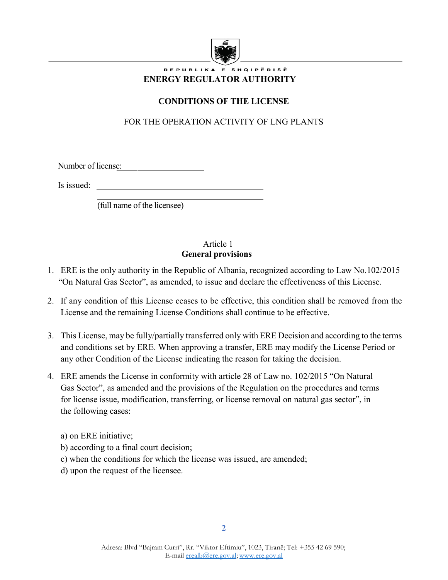

### .<br>Republika e shqipërisë **ENERGY REGULATOR AUTHORITY**

# **CONDITIONS OF THE LICENSE**

# FOR THE OPERATION ACTIVITY OF LNG PLANTS

Number of license:

Is issued:

(full name of the licensee)

### Article 1  **General provisions**

- 1. ERE is the only authority in the Republic of Albania, recognized according to Law No.102/2015 "On Natural Gas Sector", as amended, to issue and declare the effectiveness of this License.
- 2. If any condition of this License ceases to be effective, this condition shall be removed from the License and the remaining License Conditions shall continue to be effective.
- 3. This License, may be fully/partially transferred only with ERE Decision and according to the terms and conditions set by ERE. When approving a transfer, ERE may modify the License Period or any other Condition of the License indicating the reason for taking the decision.
- 4. ERE amends the License in conformity with article 28 of Law no. 102/2015 "On Natural Gas Sector", as amended and the provisions of the Regulation on the procedures and terms for license issue, modification, transferring, or license removal on natural gas sector", in the following cases:
	- a) on ERE initiative;
	- b) according to a final court decision;
	- c) when the conditions for which the license was issued, are amended;
	- d) upon the request of the licensee.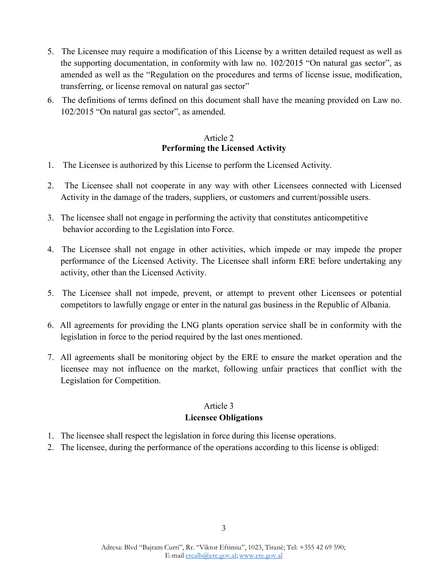- 5. The Licensee may require a modification of this License by a written detailed request as well as the supporting documentation, in conformity with law no. 102/2015 "On natural gas sector", as amended as well as the "Regulation on the procedures and terms of license issue, modification, transferring, or license removal on natural gas sector"
- 6. The definitions of terms defined on this document shall have the meaning provided on Law no. 102/2015 "On natural gas sector", as amended.

### Article 2  **Performing the Licensed Activity**

- 1. The Licensee is authorized by this License to perform the Licensed Activity.
- 2. The Licensee shall not cooperate in any way with other Licensees connected with Licensed Activity in the damage of the traders, suppliers, or customers and current/possible users.
- 3. The licensee shall not engage in performing the activity that constitutes anticompetitive behavior according to the Legislation into Force.
- 4. The Licensee shall not engage in other activities, which impede or may impede the proper performance of the Licensed Activity. The Licensee shall inform ERE before undertaking any activity, other than the Licensed Activity.
- 5. The Licensee shall not impede, prevent, or attempt to prevent other Licensees or potential competitors to lawfully engage or enter in the natural gas business in the Republic of Albania.
- 6. All agreements for providing the LNG plants operation service shall be in conformity with the legislation in force to the period required by the last ones mentioned.
- 7. All agreements shall be monitoring object by the ERE to ensure the market operation and the licensee may not influence on the market, following unfair practices that conflict with the Legislation for Competition.

### Article 3 **Licensee Obligations**

- 1. The licensee shall respect the legislation in force during this license operations.
- 2. The licensee, during the performance of the operations according to this license is obliged: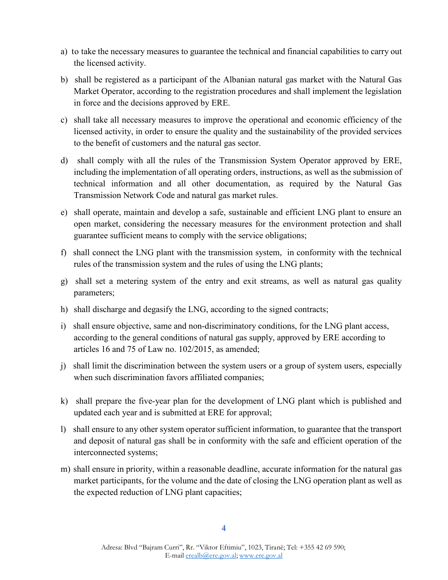- a) to take the necessary measures to guarantee the technical and financial capabilities to carry out the licensed activity.
- b) shall be registered as a participant of the Albanian natural gas market with the Natural Gas Market Operator, according to the registration procedures and shall implement the legislation in force and the decisions approved by ERE.
- c) shall take all necessary measures to improve the operational and economic efficiency of the licensed activity, in order to ensure the quality and the sustainability of the provided services to the benefit of customers and the natural gas sector.
- d) shall comply with all the rules of the Transmission System Operator approved by ERE, including the implementation of all operating orders, instructions, as well as the submission of technical information and all other documentation, as required by the Natural Gas Transmission Network Code and natural gas market rules.
- e) shall operate, maintain and develop a safe, sustainable and efficient LNG plant to ensure an open market, considering the necessary measures for the environment protection and shall guarantee sufficient means to comply with the service obligations;
- f) shall connect the LNG plant with the transmission system, in conformity with the technical rules of the transmission system and the rules of using the LNG plants;
- g) shall set a metering system of the entry and exit streams, as well as natural gas quality parameters;
- h) shall discharge and degasify the LNG, according to the signed contracts;
- i) shall ensure objective, same and non-discriminatory conditions, for the LNG plant access, according to the general conditions of natural gas supply, approved by ERE according to articles 16 and 75 of Law no. 102/2015, as amended;
- j) shall limit the discrimination between the system users or a group of system users, especially when such discrimination favors affiliated companies;
- k) shall prepare the five-year plan for the development of LNG plant which is published and updated each year and is submitted at ERE for approval;
- l) shall ensure to any other system operator sufficient information, to guarantee that the transport and deposit of natural gas shall be in conformity with the safe and efficient operation of the interconnected systems;
- m) shall ensure in priority, within a reasonable deadline, accurate information for the natural gas market participants, for the volume and the date of closing the LNG operation plant as well as the expected reduction of LNG plant capacities;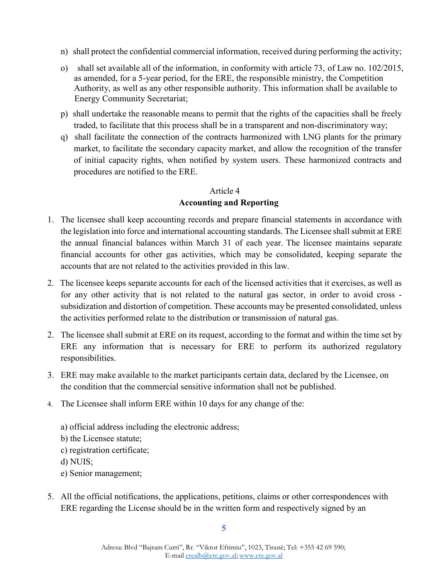- n) shall protect the confidential commercial information, received during performing the activity;
- o) shall set available all of the information, in conformity with article 73, of Law no. 102/2015, as amended, for a 5-year period, for the ERE, the responsible ministry, the Competition Authority, as well as any other responsible authority. This information shall be available to Energy Community Secretariat;
- p) shall undertake the reasonable means to permit that the rights of the capacities shall be freely traded, to facilitate that this process shall be in a transparent and non-discriminatory way;
- q) shall facilitate the connection of the contracts harmonized with LNG plants for the primary market, to facilitate the secondary capacity market, and allow the recognition of the transfer of initial capacity rights, when notified by system users. These harmonized contracts and procedures are notified to the ERE.

# Article 4  **Accounting and Reporting**

- 1. The licensee shall keep accounting records and prepare financial statements in accordance with the legislation into force and international accounting standards. The Licensee shall submit at ERE the annual financial balances within March 31 of each year. The licensee maintains separate financial accounts for other gas activities, which may be consolidated, keeping separate the accounts that are not related to the activities provided in this law.
- 2. The licensee keeps separate accounts for each of the licensed activities that it exercises, as well as for any other activity that is not related to the natural gas sector, in order to avoid cross subsidization and distortion of competition. These accounts may be presented consolidated, unless the activities performed relate to the distribution or transmission of natural gas.
- 2. The licensee shall submit at ERE on its request, according to the format and within the time set by ERE any information that is necessary for ERE to perform its authorized regulatory responsibilities.
- 3. ERE may make available to the market participants certain data, declared by the Licensee, on the condition that the commercial sensitive information shall not be published.
- 4. The Licensee shall inform ERE within 10 days for any change of the:
	- a) official address including the electronic address; b) the Licensee statute; c) registration certificate; d) NUIS; e) Senior management;
- 5. All the official notifications, the applications, petitions, claims or other correspondences with ERE regarding the License should be in the written form and respectively signed by an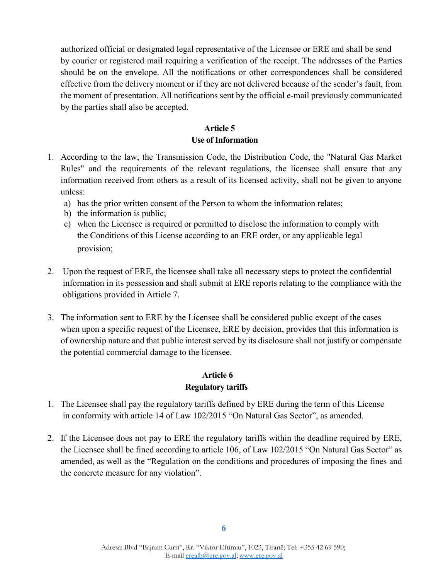authorized official or designated legal representative of the Licensee or ERE and shall be send by courier or registered mail requiring a verification of the receipt. The addresses of the Parties should be on the envelope. All the notifications or other correspondences shall be considered effective from the delivery moment or if they are not delivered because of the sender's fault, from the moment of presentation. All notifications sent by the official e-mail previously communicated by the parties shall also be accepted.

### **Article 5 Use of Information**

- 1. According to the law, the Transmission Code, the Distribution Code, the "Natural Gas Market Rules" and the requirements of the relevant regulations, the licensee shall ensure that any information received from others as a result of its licensed activity, shall not be given to anyone unless:
	- a) has the prior written consent of the Person to whom the information relates;
	- b) the information is public;
	- c) when the Licensee is required or permitted to disclose the information to comply with the Conditions of this License according to an ERE order, or any applicable legal provision;
- 2. Upon the request of ERE, the licensee shall take all necessary steps to protect the confidential information in its possession and shall submit at ERE reports relating to the compliance with the obligations provided in Article 7.
- 3. The information sent to ERE by the Licensee shall be considered public except of the cases when upon a specific request of the Licensee, ERE by decision, provides that this information is of ownership nature and that public interest served by its disclosure shall not justify or compensate the potential commercial damage to the licensee.

# **Article 6**

## **Regulatory tariffs**

- 1. The Licensee shall pay the regulatory tariffs defined by ERE during the term of this License in conformity with article 14 of Law 102/2015 "On Natural Gas Sector", as amended.
- 2. If the Licensee does not pay to ERE the regulatory tariffs within the deadline required by ERE, the Licensee shall be fined according to article 106, of Law 102/2015 "On Natural Gas Sector" as amended, as well as the "Regulation on the conditions and procedures of imposing the fines and the concrete measure for any violation".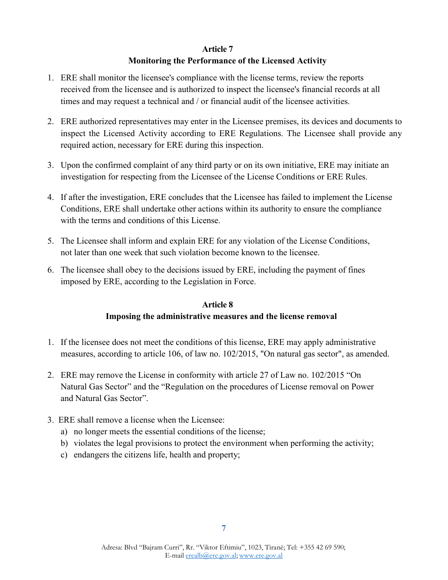#### **Article 7**

### **Monitoring the Performance of the Licensed Activity**

- 1. ERE shall monitor the licensee's compliance with the license terms, review the reports received from the licensee and is authorized to inspect the licensee's financial records at all times and may request a technical and / or financial audit of the licensee activities.
- 2. ERE authorized representatives may enter in the Licensee premises, its devices and documents to inspect the Licensed Activity according to ERE Regulations. The Licensee shall provide any required action, necessary for ERE during this inspection.
- 3. Upon the confirmed complaint of any third party or on its own initiative, ERE may initiate an investigation for respecting from the Licensee of the License Conditions or ERE Rules.
- 4. If after the investigation, ERE concludes that the Licensee has failed to implement the License Conditions, ERE shall undertake other actions within its authority to ensure the compliance with the terms and conditions of this License.
- 5. The Licensee shall inform and explain ERE for any violation of the License Conditions, not later than one week that such violation become known to the licensee.
- 6. The licensee shall obey to the decisions issued by ERE, including the payment of fines imposed by ERE, according to the Legislation in Force.

### **Article 8 Imposing the administrative measures and the license removal**

- 1. If the licensee does not meet the conditions of this license, ERE may apply administrative measures, according to article 106, of law no. 102/2015, "On natural gas sector", as amended.
- 2. ERE may remove the License in conformity with article 27 of Law no. 102/2015 "On Natural Gas Sector" and the "Regulation on the procedures of License removal on Power and Natural Gas Sector".
- 3. ERE shall remove a license when the Licensee:
	- a) no longer meets the essential conditions of the license;
	- b) violates the legal provisions to protect the environment when performing the activity;
	- c) endangers the citizens life, health and property;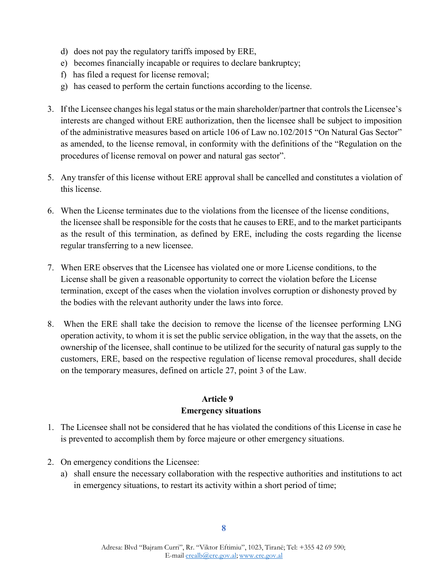- d) does not pay the regulatory tariffs imposed by ERE,
- e) becomes financially incapable or requires to declare bankruptcy;
- f) has filed a request for license removal;
- g) has ceased to perform the certain functions according to the license.
- 3. If the Licensee changes his legal status or the main shareholder/partner that controls the Licensee's interests are changed without ERE authorization, then the licensee shall be subject to imposition of the administrative measures based on article 106 of Law no.102/2015 "On Natural Gas Sector" as amended, to the license removal, in conformity with the definitions of the "Regulation on the procedures of license removal on power and natural gas sector".
- 5. Any transfer of this license without ERE approval shall be cancelled and constitutes a violation of this license.
- 6. When the License terminates due to the violations from the licensee of the license conditions, the licensee shall be responsible for the costs that he causes to ERE, and to the market participants as the result of this termination, as defined by ERE, including the costs regarding the license regular transferring to a new licensee.
- 7. When ERE observes that the Licensee has violated one or more License conditions, to the License shall be given a reasonable opportunity to correct the violation before the License termination, except of the cases when the violation involves corruption or dishonesty proved by the bodies with the relevant authority under the laws into force.
- 8. When the ERE shall take the decision to remove the license of the licensee performing LNG operation activity, to whom it is set the public service obligation, in the way that the assets, on the ownership of the licensee, shall continue to be utilized for the security of natural gas supply to the customers, ERE, based on the respective regulation of license removal procedures, shall decide on the temporary measures, defined on article 27, point 3 of the Law.

## **Article 9 Emergency situations**

- 1. The Licensee shall not be considered that he has violated the conditions of this License in case he is prevented to accomplish them by force majeure or other emergency situations.
- 2. On emergency conditions the Licensee:
	- a) shall ensure the necessary collaboration with the respective authorities and institutions to act in emergency situations, to restart its activity within a short period of time;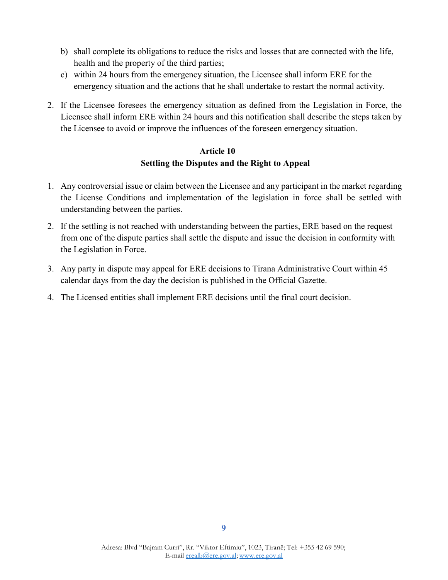- b) shall complete its obligations to reduce the risks and losses that are connected with the life, health and the property of the third parties;
- c) within 24 hours from the emergency situation, the Licensee shall inform ERE for the emergency situation and the actions that he shall undertake to restart the normal activity.
- 2. If the Licensee foresees the emergency situation as defined from the Legislation in Force, the Licensee shall inform ERE within 24 hours and this notification shall describe the steps taken by the Licensee to avoid or improve the influences of the foreseen emergency situation.

## **Article 10 Settling the Disputes and the Right to Appeal**

- 1. Any controversial issue or claim between the Licensee and any participant in the market regarding the License Conditions and implementation of the legislation in force shall be settled with understanding between the parties.
- 2. If the settling is not reached with understanding between the parties, ERE based on the request from one of the dispute parties shall settle the dispute and issue the decision in conformity with the Legislation in Force.
- 3. Any party in dispute may appeal for ERE decisions to Tirana Administrative Court within 45 calendar days from the day the decision is published in the Official Gazette.
- 4. The Licensed entities shall implement ERE decisions until the final court decision.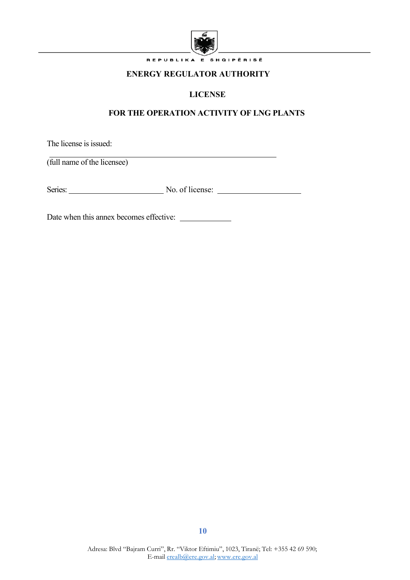

REPUBLIKA E SHQIPËRISË

## **ENERGY REGULATOR AUTHORITY**

# **LICENSE**

# **FOR THE OPERATION ACTIVITY OF LNG PLANTS**

The license is issued:

(full name of the licensee)

Series: No. of license: No. of license:

Date when this annex becomes effective: